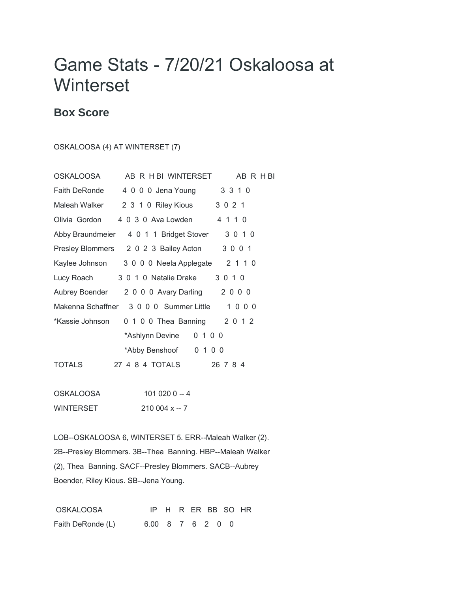## Game Stats - 7/20/21 Oskaloosa at **Winterset**

## **Box Score**

OSKALOOSA (4) AT WINTERSET (7)

| OSKALOOSA         | AB R H BI WINTERSET                     | AB R H BI |
|-------------------|-----------------------------------------|-----------|
| Faith DeRonde     | 4 0 0 0 Jena Young                      | 3 3 1 0   |
| Maleah Walker     | 2 3 1 0 Riley Kious                     | 3 0 2 1   |
| Olivia Gordon     | 4 0 3 0 Ava Lowden                      | 4 1 1 0   |
|                   | Abby Braundmeier 4 0 1 1 Bridget Stover | 3 0 1 0   |
|                   | Presley Blommers 2 0 2 3 Bailey Acton   | 3 0 0 1   |
| Kaylee Johnson    | 3 0 0 0 Neela Applegate                 | 2 1 1 0   |
| Lucy Roach        | 3 0 1 0 Natalie Drake                   | 3 0 1 0   |
| Aubrey Boender    | 2 0 0 0 Avary Darling                   | 2000      |
| Makenna Schaffner | 3 0 0 0 Summer Little 1 0 0 0           |           |
| *Kassie Johnson   | 0 1 0 0 Thea Banning 2 0 1 2            |           |
|                   | 0 1 0 0<br>*Ashlynn Devine              |           |
|                   | 0 1 0 0<br>*Abby Benshoof               |           |
| TOTALS            | 27    4    8    4    TOTALS             | 26 7 8 4  |
|                   |                                         |           |

OSKALOOSA 101 020 0 -- 4 WINTERSET 210 004 x -- 7

LOB--OSKALOOSA 6, WINTERSET 5. ERR--Maleah Walker (2). 2B--Presley Blommers. 3B--Thea Banning. HBP--Maleah Walker (2), Thea Banning. SACF--Presley Blommers. SACB--Aubrey Boender, Riley Kious. SB--Jena Young.

OSKALOOSA IP H R ER BB SO HR Faith DeRonde (L) 6.00 8 7 6 2 0 0